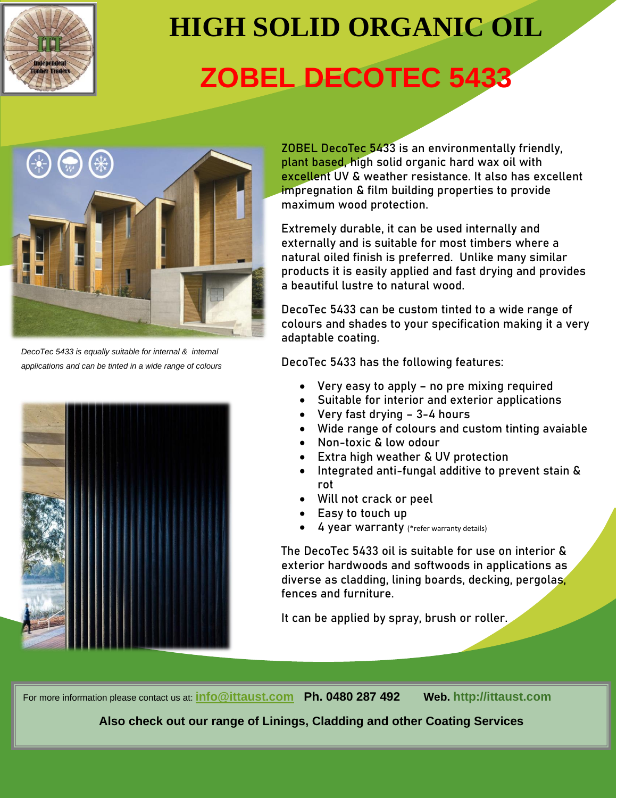

# **HIGH SOLID ORGANIC OIL ZOBEL DECOTEC 5433**



*DecoTec 5433 is equally suitable for internal & internal applications and can be tinted in a wide range of colours* 



**ZOBEL DecoTec 5433 is an environmentally friendly, plant based, high solid organic hard wax oil with excellent UV & weather resistance. It also has excellent impregnation & film building properties to provide maximum wood protection.**

**Extremely durable, it can be used internally and externally and is suitable for most timbers where a natural oiled finish is preferred. Unlike many similar products it is easily applied and fast drying and provides a beautiful lustre to natural wood.** 

**DecoTec 5433 can be custom tinted to a wide range of colours and shades to your specification making it a very adaptable coating.**

**DecoTec 5433 has the following features:**

- **Very easy to apply – no pre mixing required**
- **Suitable for interior and exterior applications**
- **Very fast drying – 3-4 hours**
- **Wide range of colours and custom tinting avaiable**
- **Non-toxic & low odour**
- **Extra high weather & UV protection**
- **Integrated anti-fungal additive to prevent stain & rot**
- **Will not crack or peel**
- **Easy to touch up**
- **4 year warranty** (\*refer warranty details)

**The DecoTec 5433 oil is suitable for use on interior & exterior hardwoods and softwoods in applications as diverse as cladding, lining boards, decking, pergolas, fences and furniture.** 

**It can be applied by spray, brush or roller.**

For more information please contact us at: **[info@ittaust.com](mailto:info@ittaust.com) Ph. 0480 287 492 Web. http://ittaust.com**

**Also check out our range of Linings, Cladding and other Coating Services**